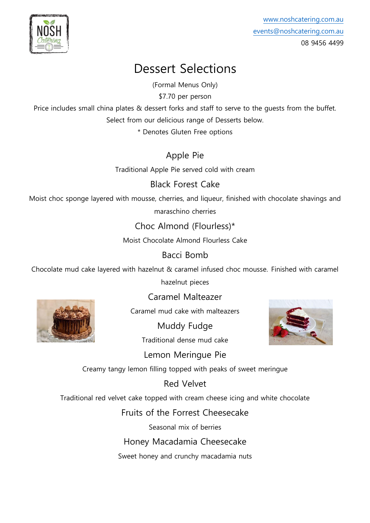

[www.noshcatering.com.au](http://www.noshcatering.com.au/) [events@noshcatering.com.au](mailto:events@noshcatering.com.au) 08 9456 4499

## Dessert Selections

(Formal Menus Only)

\$7.70 per person

Price includes small china plates & dessert forks and staff to serve to the quests from the buffet. Select from our delicious range of Desserts below.

\* Denotes Gluten Free options

Apple Pie

Traditional Apple Pie served cold with cream

Black Forest Cake

Moist choc sponge layered with mousse, cherries, and liqueur, finished with chocolate shavings and maraschino cherries

Choc Almond (Flourless)\*

Moist Chocolate Almond Flourless Cake

## Bacci Bomb

Chocolate mud cake layered with hazelnut & caramel infused choc mousse. Finished with caramel

hazelnut pieces



Caramel Malteazer

Caramel mud cake with malteazers

Muddy Fudge Traditional dense mud cake



Lemon Meringue Pie

Creamy tangy lemon filling topped with peaks of sweet meringue

Red Velvet

Traditional red velvet cake topped with cream cheese icing and white chocolate

Fruits of the Forrest Cheesecake

Seasonal mix of berries

Honey Macadamia Cheesecake

Sweet honey and crunchy macadamia nuts